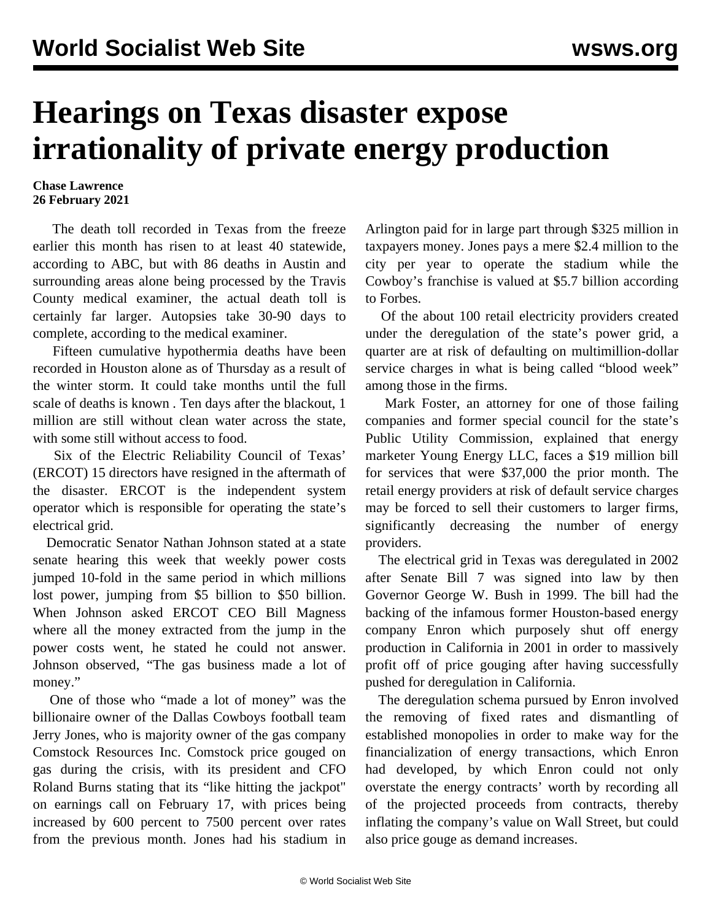## **Hearings on Texas disaster expose irrationality of private energy production**

## **Chase Lawrence 26 February 2021**

 The death toll recorded in Texas from the freeze earlier this month has risen to at least 40 statewide, according to ABC, but with 86 deaths in Austin and surrounding areas alone being processed by the Travis County medical examiner, the actual death toll is certainly far larger. Autopsies take 30-90 days to complete, according to the medical examiner.

 Fifteen cumulative hypothermia deaths have been recorded in Houston alone as of Thursday as a result of the winter storm. It could take months until the full scale of deaths is known *.* Ten days after the blackout, 1 million are still without clean water across the state, with some still without access to food.

 Six of the Electric Reliability Council of Texas' (ERCOT) 15 directors have resigned in the aftermath of the disaster. ERCOT is the independent system operator which is responsible for operating the state's electrical grid.

 Democratic Senator Nathan Johnson stated at a state senate hearing this week that weekly power costs jumped 10-fold in the same period in which millions lost power, jumping from \$5 billion to \$50 billion. When Johnson asked ERCOT CEO Bill Magness where all the money extracted from the jump in the power costs went, he stated he could not answer. Johnson observed, "The gas business made a lot of money."

 One of those who "made a lot of money" was the billionaire owner of the Dallas Cowboys football team Jerry Jones, who is majority owner of the gas company Comstock Resources Inc. Comstock price gouged on gas during the crisis, with its president and CFO Roland Burns stating that its "like hitting the jackpot" on earnings call on February 17, with prices being increased by 600 percent to 7500 percent over rates from the previous month. Jones had his stadium in Arlington paid for in large part through \$325 million in taxpayers money. Jones pays a mere \$2.4 million to the city per year to operate the stadium while the Cowboy's franchise is valued at \$5.7 billion according to Forbes.

 Of the about 100 retail electricity providers created under the deregulation of the state's power grid, a quarter are at risk of defaulting on multimillion-dollar service charges in what is being called "blood week" among those in the firms.

 Mark Foster, an attorney for one of those failing companies and former special council for the state's Public Utility Commission, explained that energy marketer Young Energy LLC, faces a \$19 million bill for services that were \$37,000 the prior month. The retail energy providers at risk of default service charges may be forced to sell their customers to larger firms, significantly decreasing the number of energy providers.

 The electrical grid in Texas was deregulated in 2002 after Senate Bill 7 was signed into law by then Governor George W. Bush in 1999. The bill had the backing of the infamous former Houston-based energy company Enron which purposely shut off energy production in California in 2001 in order to massively profit off of price gouging after having successfully pushed for deregulation in California.

 The deregulation schema pursued by Enron involved the removing of fixed rates and dismantling of established monopolies in order to make way for the financialization of energy transactions, which Enron had developed, by which Enron could not only overstate the energy contracts' worth by recording all of the projected proceeds from contracts, thereby inflating the company's value on Wall Street, but could also price gouge as demand increases.